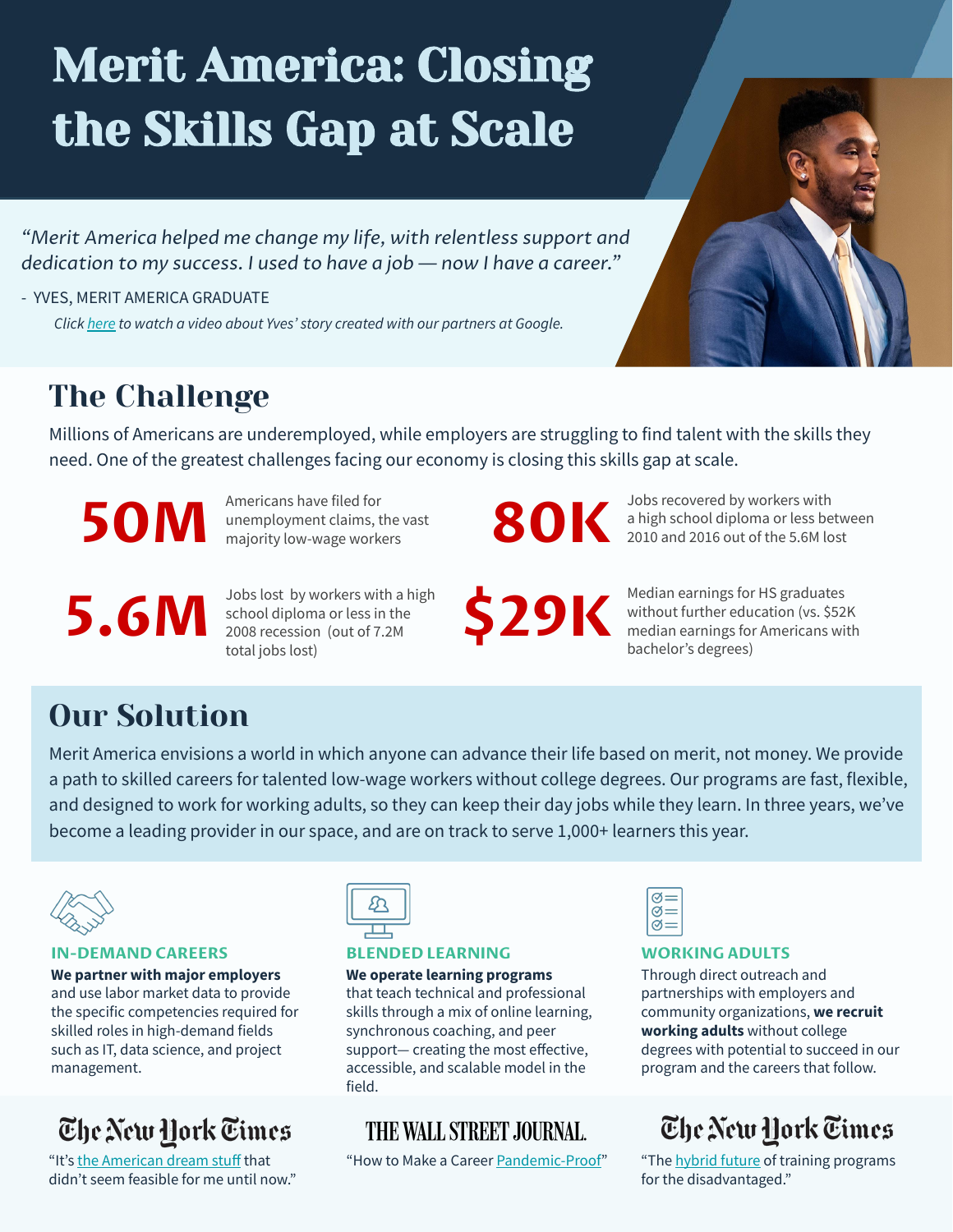# Merit America: Closing the Skills Gap at Scale

*"Merit America helped me change my life, with relentless support and dedication to my success. I used to have a job — now I have a career."*

- YVES, MERIT AMERICA GRADUATE  *Click [here](https://www.youtube.com/watch?v=YLdJiLne3bw&t) to watch a video about Yves' story created with our partners at Google.*

### The Challenge

Millions of Americans are underemployed, while employers are struggling to find talent with the skills they need. One of the greatest challenges facing our economy is closing this skills gap at scale.

**50M**

**5.6M**

Americans have filed for unemployment claims, the vast majority low-wage workers

Jobs lost by workers with a high school diploma or less in the 2008 recession (out of 7.2M

total jobs lost)

**\$29K**

Jobs recovered by workers with a high school diploma or less between **80K** a high school diploma or less between 2010 and 2016 out of the 5.6M lost

> Median earnings for HS graduates without further education (vs. \$52K median earnings for Americans with bachelor's degrees)

## Our Solution

Merit America envisions a world in which anyone can advance their life based on merit, not money. We provide a path to skilled careers for talented low-wage workers without college degrees. Our programs are fast, flexible, and designed to work for working adults, so they can keep their day jobs while they learn. In three years, we've become a leading provider in our space, and are on track to serve 1,000+ learners this year.



#### **IN-DEMAND CAREERS**

**We partner with major employers**  and use labor market data to provide the specific competencies required for skilled roles in high-demand fields such as IT, data science, and project management.

### The New York Times

"It's [the American dream stuff](https://www.nytimes.com/2020/12/03/technology/work-skills-upward-mobility.html) that didn't seem feasible for me until now."



#### **BLENDED LEARNING**

**We operate learning programs** that teach technical and professional skills through a mix of online learning, synchronous coaching, and peer support— creating the most effective, accessible, and scalable model in the field.

#### THE WALL STREET JOURNAL.

"How to Make a Career [Pandemic-Proof](https://www.wsj.com/articles/workers-strive-to-make-their-careers-pandemic-proof-11593509400)" "The [hybrid future](https://www.nytimes.com/2020/06/07/technology/virtual-skills-inequality-gap-virus.html) of training programs



#### **WORKING ADULTS**

Through direct outreach and partnerships with employers and community organizations, **we recruit working adults** without college degrees with potential to succeed in our program and the careers that follow.

### The New York Times

for the disadvantaged."